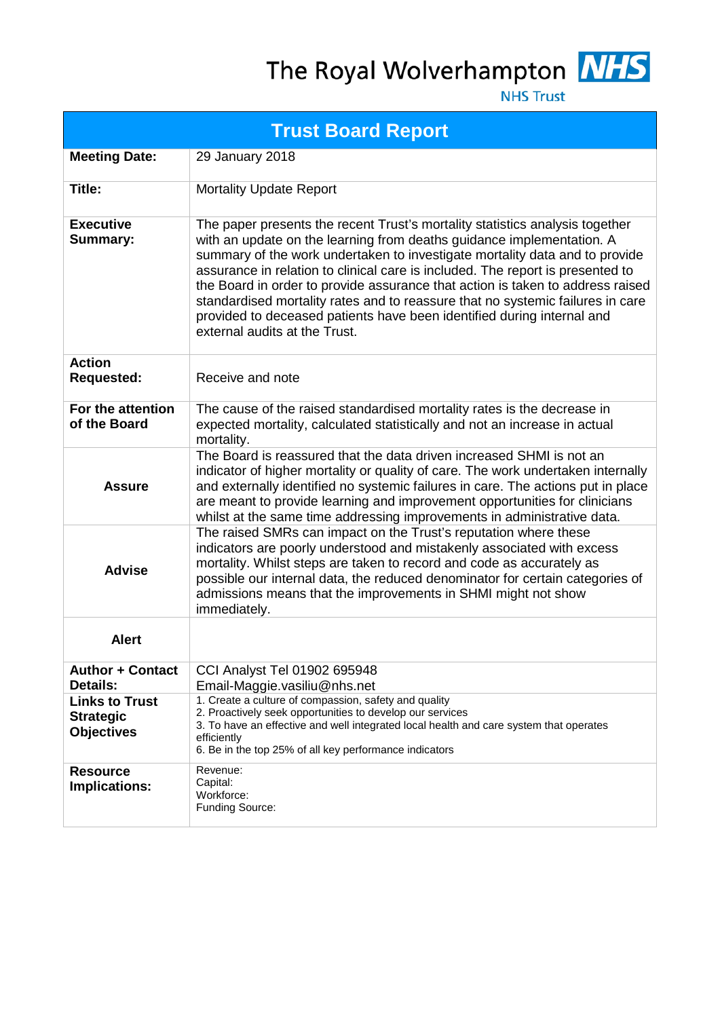The Royal Wolverhampton NHS



**NHS Trust** 

| <b>Trust Board Report</b>                                      |                                                                                                                                                                                                                                                                                                                                                                                                                                                                                                                                                                                                       |  |  |  |  |
|----------------------------------------------------------------|-------------------------------------------------------------------------------------------------------------------------------------------------------------------------------------------------------------------------------------------------------------------------------------------------------------------------------------------------------------------------------------------------------------------------------------------------------------------------------------------------------------------------------------------------------------------------------------------------------|--|--|--|--|
| <b>Meeting Date:</b>                                           | 29 January 2018                                                                                                                                                                                                                                                                                                                                                                                                                                                                                                                                                                                       |  |  |  |  |
| Title:                                                         | <b>Mortality Update Report</b>                                                                                                                                                                                                                                                                                                                                                                                                                                                                                                                                                                        |  |  |  |  |
| <b>Executive</b><br><b>Summary:</b>                            | The paper presents the recent Trust's mortality statistics analysis together<br>with an update on the learning from deaths guidance implementation. A<br>summary of the work undertaken to investigate mortality data and to provide<br>assurance in relation to clinical care is included. The report is presented to<br>the Board in order to provide assurance that action is taken to address raised<br>standardised mortality rates and to reassure that no systemic failures in care<br>provided to deceased patients have been identified during internal and<br>external audits at the Trust. |  |  |  |  |
| <b>Action</b><br><b>Requested:</b>                             | Receive and note                                                                                                                                                                                                                                                                                                                                                                                                                                                                                                                                                                                      |  |  |  |  |
| For the attention<br>of the Board                              | The cause of the raised standardised mortality rates is the decrease in<br>expected mortality, calculated statistically and not an increase in actual<br>mortality.                                                                                                                                                                                                                                                                                                                                                                                                                                   |  |  |  |  |
| <b>Assure</b>                                                  | The Board is reassured that the data driven increased SHMI is not an<br>indicator of higher mortality or quality of care. The work undertaken internally<br>and externally identified no systemic failures in care. The actions put in place<br>are meant to provide learning and improvement opportunities for clinicians<br>whilst at the same time addressing improvements in administrative data.                                                                                                                                                                                                 |  |  |  |  |
| <b>Advise</b>                                                  | The raised SMRs can impact on the Trust's reputation where these<br>indicators are poorly understood and mistakenly associated with excess<br>mortality. Whilst steps are taken to record and code as accurately as<br>possible our internal data, the reduced denominator for certain categories of<br>admissions means that the improvements in SHMI might not show<br>immediately.                                                                                                                                                                                                                 |  |  |  |  |
| <b>Alert</b>                                                   |                                                                                                                                                                                                                                                                                                                                                                                                                                                                                                                                                                                                       |  |  |  |  |
| <b>Author + Contact</b><br><b>Details:</b>                     | CCI Analyst Tel 01902 695948<br>Email-Maggie.vasiliu@nhs.net                                                                                                                                                                                                                                                                                                                                                                                                                                                                                                                                          |  |  |  |  |
| <b>Links to Trust</b><br><b>Strategic</b><br><b>Objectives</b> | 1. Create a culture of compassion, safety and quality<br>2. Proactively seek opportunities to develop our services<br>3. To have an effective and well integrated local health and care system that operates<br>efficiently<br>6. Be in the top 25% of all key performance indicators                                                                                                                                                                                                                                                                                                                 |  |  |  |  |
| <b>Resource</b><br>Implications:                               | Revenue:<br>Capital:<br>Workforce:<br>Funding Source:                                                                                                                                                                                                                                                                                                                                                                                                                                                                                                                                                 |  |  |  |  |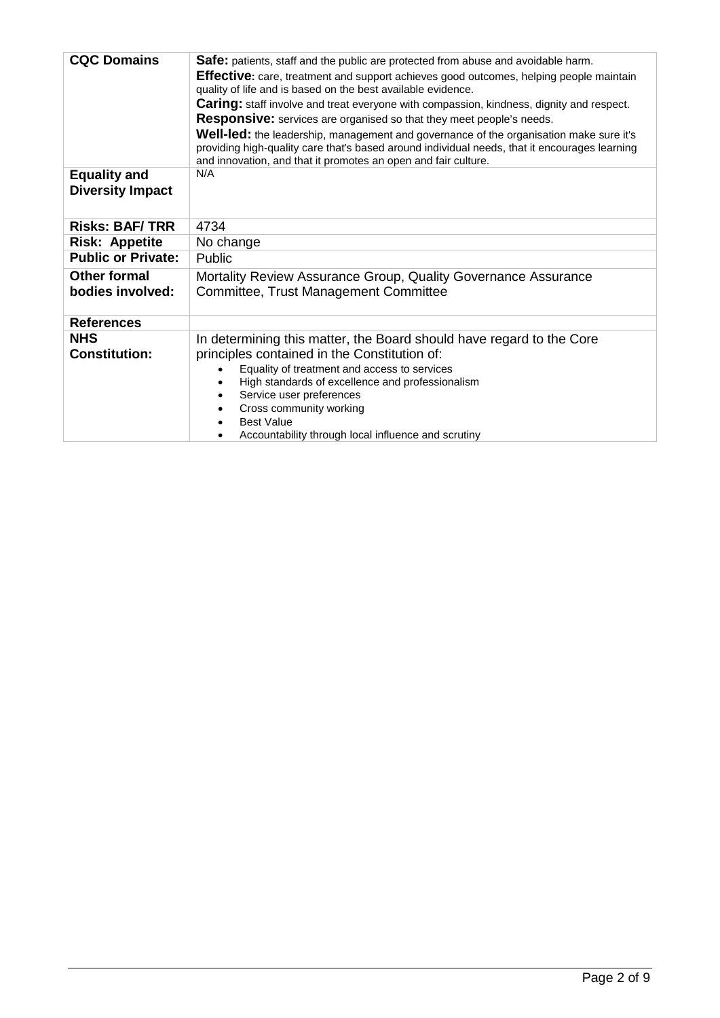| <b>CQC Domains</b>                             | Safe: patients, staff and the public are protected from abuse and avoidable harm.<br><b>Effective:</b> care, treatment and support achieves good outcomes, helping people maintain<br>quality of life and is based on the best available evidence.<br><b>Caring:</b> staff involve and treat everyone with compassion, kindness, dignity and respect.<br><b>Responsive:</b> services are organised so that they meet people's needs.<br>Well-led: the leadership, management and governance of the organisation make sure it's |  |  |  |  |
|------------------------------------------------|--------------------------------------------------------------------------------------------------------------------------------------------------------------------------------------------------------------------------------------------------------------------------------------------------------------------------------------------------------------------------------------------------------------------------------------------------------------------------------------------------------------------------------|--|--|--|--|
|                                                | providing high-quality care that's based around individual needs, that it encourages learning<br>and innovation, and that it promotes an open and fair culture.                                                                                                                                                                                                                                                                                                                                                                |  |  |  |  |
| <b>Equality and</b><br><b>Diversity Impact</b> | N/A                                                                                                                                                                                                                                                                                                                                                                                                                                                                                                                            |  |  |  |  |
| <b>Risks: BAF/TRR</b>                          | 4734                                                                                                                                                                                                                                                                                                                                                                                                                                                                                                                           |  |  |  |  |
| <b>Risk: Appetite</b>                          | No change                                                                                                                                                                                                                                                                                                                                                                                                                                                                                                                      |  |  |  |  |
| <b>Public or Private:</b>                      | Public                                                                                                                                                                                                                                                                                                                                                                                                                                                                                                                         |  |  |  |  |
| <b>Other formal</b><br>bodies involved:        | Mortality Review Assurance Group, Quality Governance Assurance<br><b>Committee, Trust Management Committee</b>                                                                                                                                                                                                                                                                                                                                                                                                                 |  |  |  |  |
| <b>References</b>                              |                                                                                                                                                                                                                                                                                                                                                                                                                                                                                                                                |  |  |  |  |
| <b>NHS</b><br><b>Constitution:</b>             | In determining this matter, the Board should have regard to the Core<br>principles contained in the Constitution of:<br>Equality of treatment and access to services<br>High standards of excellence and professionalism<br>Service user preferences<br>Cross community working<br><b>Best Value</b><br>Accountability through local influence and scrutiny                                                                                                                                                                    |  |  |  |  |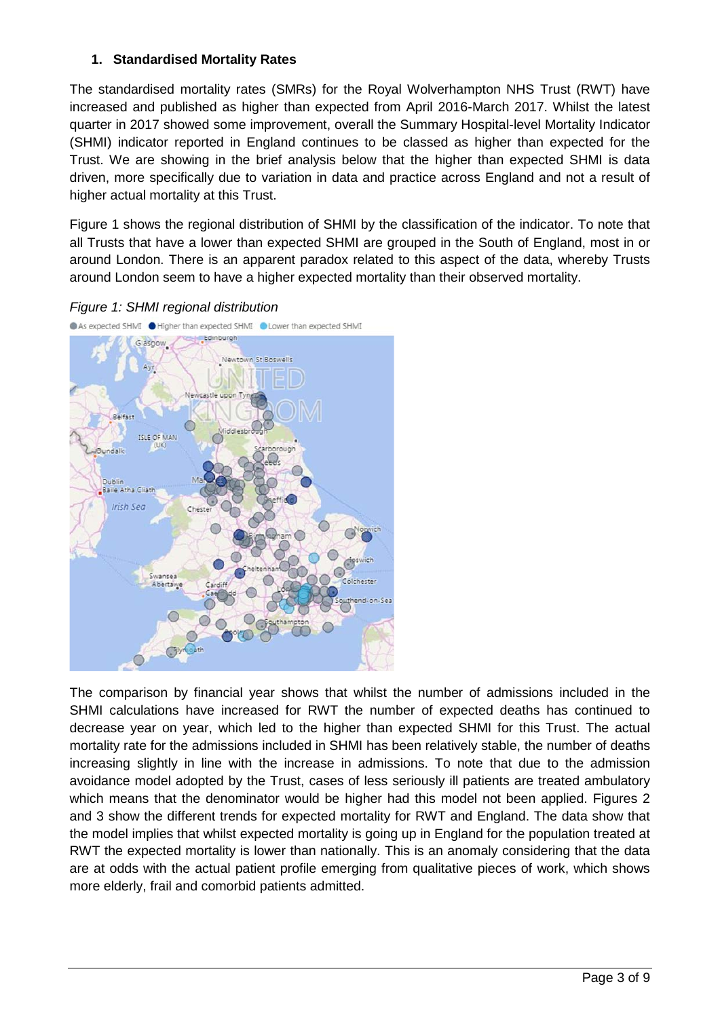# **1. Standardised Mortality Rates**

The standardised mortality rates (SMRs) for the Royal Wolverhampton NHS Trust (RWT) have increased and published as higher than expected from April 2016-March 2017. Whilst the latest quarter in 2017 showed some improvement, overall the Summary Hospital-level Mortality Indicator (SHMI) indicator reported in England continues to be classed as higher than expected for the Trust. We are showing in the brief analysis below that the higher than expected SHMI is data driven, more specifically due to variation in data and practice across England and not a result of higher actual mortality at this Trust.

Figure 1 shows the regional distribution of SHMI by the classification of the indicator. To note that all Trusts that have a lower than expected SHMI are grouped in the South of England, most in or around London. There is an apparent paradox related to this aspect of the data, whereby Trusts around London seem to have a higher expected mortality than their observed mortality.





The comparison by financial year shows that whilst the number of admissions included in the SHMI calculations have increased for RWT the number of expected deaths has continued to decrease year on year, which led to the higher than expected SHMI for this Trust. The actual mortality rate for the admissions included in SHMI has been relatively stable, the number of deaths increasing slightly in line with the increase in admissions. To note that due to the admission avoidance model adopted by the Trust, cases of less seriously ill patients are treated ambulatory which means that the denominator would be higher had this model not been applied. Figures 2 and 3 show the different trends for expected mortality for RWT and England. The data show that the model implies that whilst expected mortality is going up in England for the population treated at RWT the expected mortality is lower than nationally. This is an anomaly considering that the data are at odds with the actual patient profile emerging from qualitative pieces of work, which shows more elderly, frail and comorbid patients admitted.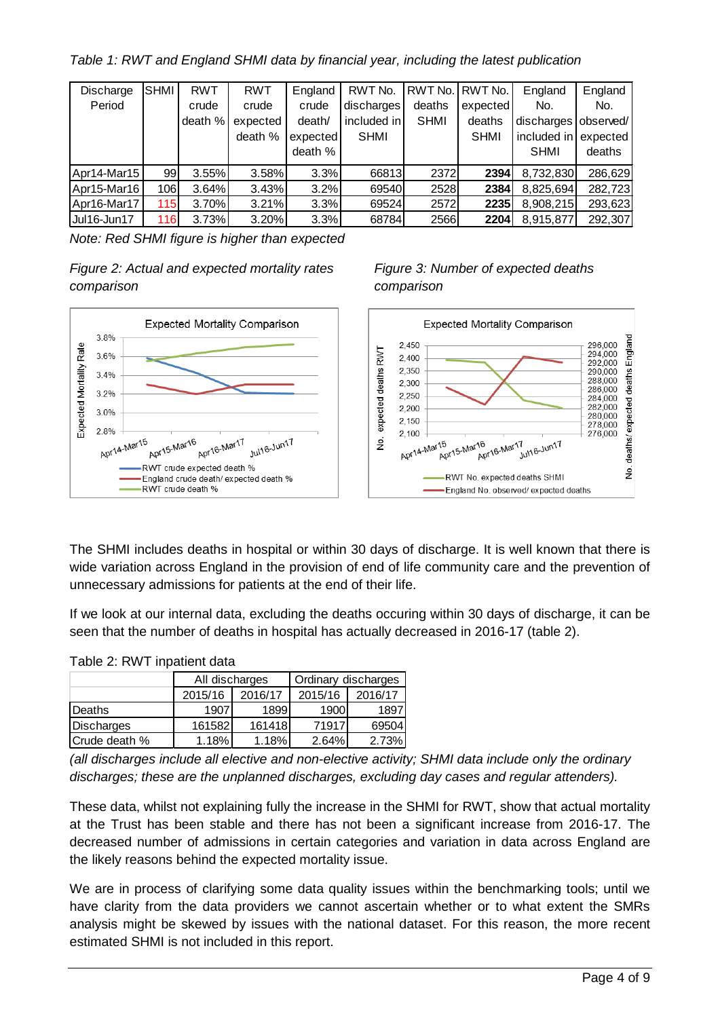*Table 1: RWT and England SHMI data by financial year, including the latest publication*

| Discharge   | <b>SHMI</b> | <b>RWT</b> | <b>RWT</b> | England  | RWT No.     |             | RWT No. RWT No. | England                | England  |
|-------------|-------------|------------|------------|----------|-------------|-------------|-----------------|------------------------|----------|
| Period      |             | crude      | crude      | crude    | discharges  | deaths      | expected        | No.                    | No.      |
|             |             | death %    | expected   | death/   | included in | <b>SHMI</b> | deaths          | discharges   observed/ |          |
|             |             |            | death %    | expected | <b>SHMI</b> |             | <b>SHMI</b>     | included in            | expected |
|             |             |            |            | death %  |             |             |                 | <b>SHMI</b>            | deaths   |
| Apr14-Mar15 | 99          | 3.55%      | 3.58%      | 3.3%     | 66813       | 2372        | 2394            | 8,732,830              | 286,629  |
| Apr15-Mar16 | 106         | 3.64%      | 3.43%      | 3.2%     | 69540       | 2528        | 2384            | 8,825,694              | 282,723  |
| Apr16-Mar17 | 115         | 3.70%      | 3.21%      | 3.3%     | 69524       | 2572        | 2235            | 8,908,215              | 293,623  |
| Jul16-Jun17 | 116         | 3.73%      | 3.20%      | 3.3%     | 68784       | 2566        | 2204            | 8,915,877              | 292,307  |

*Note: Red SHMI figure is higher than expected*

*Figure 2: Actual and expected mortality rates Figure 3: Number of expected deaths comparison comparison*





The SHMI includes deaths in hospital or within 30 days of discharge. It is well known that there is wide variation across England in the provision of end of life community care and the prevention of unnecessary admissions for patients at the end of their life.

If we look at our internal data, excluding the deaths occuring within 30 days of discharge, it can be seen that the number of deaths in hospital has actually decreased in 2016-17 (table 2).

|               | All discharges |         | Ordinary discharges |         |  |  |  |  |  |
|---------------|----------------|---------|---------------------|---------|--|--|--|--|--|
|               | 2015/16        | 2016/17 | 2015/16             | 2016/17 |  |  |  |  |  |
| Deaths        | 1907           | 1899    | 1900                | 1897    |  |  |  |  |  |
| Discharges    | 161582         | 161418  | 71917               | 69504   |  |  |  |  |  |
| Crude death % | 1.18%          | 1.18%   | 2.64%               | 2.73%   |  |  |  |  |  |

# Table 2: RWT inpatient data

*(all discharges include all elective and non-elective activity; SHMI data include only the ordinary discharges; these are the unplanned discharges, excluding day cases and regular attenders).*

These data, whilst not explaining fully the increase in the SHMI for RWT, show that actual mortality at the Trust has been stable and there has not been a significant increase from 2016-17. The decreased number of admissions in certain categories and variation in data across England are the likely reasons behind the expected mortality issue.

We are in process of clarifying some data quality issues within the benchmarking tools; until we have clarity from the data providers we cannot ascertain whether or to what extent the SMRs analysis might be skewed by issues with the national dataset. For this reason, the more recent estimated SHMI is not included in this report.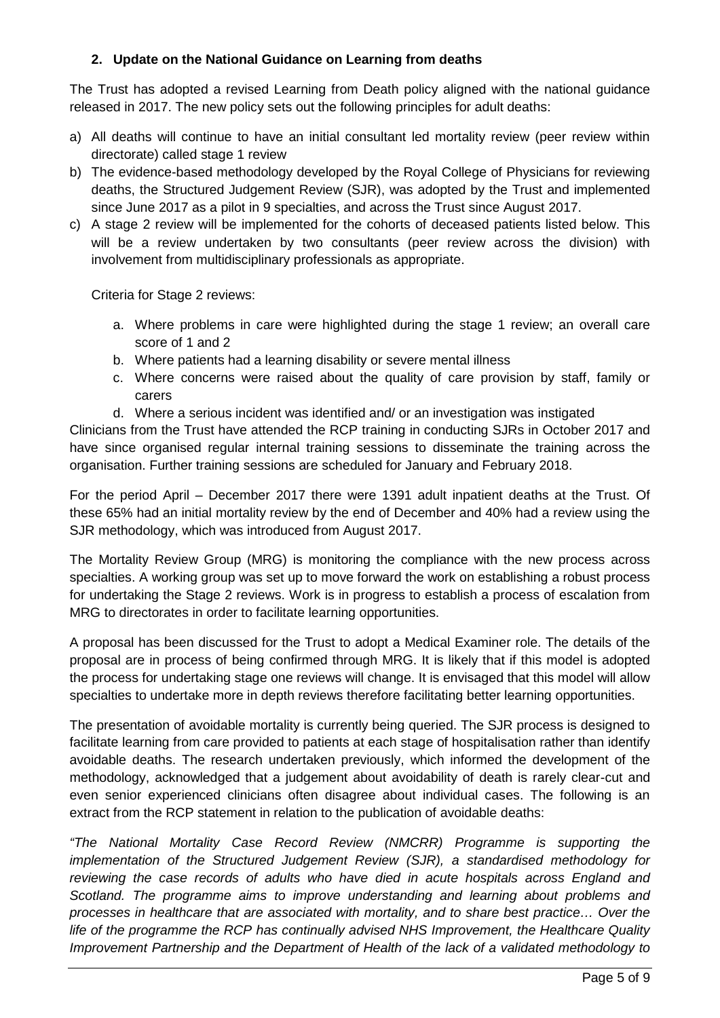# **2. Update on the National Guidance on Learning from deaths**

The Trust has adopted a revised Learning from Death policy aligned with the national guidance released in 2017. The new policy sets out the following principles for adult deaths:

- a) All deaths will continue to have an initial consultant led mortality review (peer review within directorate) called stage 1 review
- b) The evidence-based methodology developed by the Royal College of Physicians for reviewing deaths, the Structured Judgement Review (SJR), was adopted by the Trust and implemented since June 2017 as a pilot in 9 specialties, and across the Trust since August 2017.
- c) A stage 2 review will be implemented for the cohorts of deceased patients listed below. This will be a review undertaken by two consultants (peer review across the division) with involvement from multidisciplinary professionals as appropriate.

Criteria for Stage 2 reviews:

- a. Where problems in care were highlighted during the stage 1 review; an overall care score of 1 and 2
- b. Where patients had a learning disability or severe mental illness
- c. Where concerns were raised about the quality of care provision by staff, family or carers
- d. Where a serious incident was identified and/ or an investigation was instigated

Clinicians from the Trust have attended the RCP training in conducting SJRs in October 2017 and have since organised regular internal training sessions to disseminate the training across the organisation. Further training sessions are scheduled for January and February 2018.

For the period April – December 2017 there were 1391 adult inpatient deaths at the Trust. Of these 65% had an initial mortality review by the end of December and 40% had a review using the SJR methodology, which was introduced from August 2017.

The Mortality Review Group (MRG) is monitoring the compliance with the new process across specialties. A working group was set up to move forward the work on establishing a robust process for undertaking the Stage 2 reviews. Work is in progress to establish a process of escalation from MRG to directorates in order to facilitate learning opportunities.

A proposal has been discussed for the Trust to adopt a Medical Examiner role. The details of the proposal are in process of being confirmed through MRG. It is likely that if this model is adopted the process for undertaking stage one reviews will change. It is envisaged that this model will allow specialties to undertake more in depth reviews therefore facilitating better learning opportunities.

The presentation of avoidable mortality is currently being queried. The SJR process is designed to facilitate learning from care provided to patients at each stage of hospitalisation rather than identify avoidable deaths. The research undertaken previously, which informed the development of the methodology, acknowledged that a judgement about avoidability of death is rarely clear-cut and even senior experienced clinicians often disagree about individual cases. The following is an extract from the RCP statement in relation to the publication of avoidable deaths:

*"The National Mortality Case Record Review (NMCRR) Programme is supporting the implementation of the Structured Judgement Review (SJR), a standardised methodology for reviewing the case records of adults who have died in acute hospitals across England and Scotland. The programme aims to improve understanding and learning about problems and processes in healthcare that are associated with mortality, and to share best practice… Over the life of the programme the RCP has continually advised NHS Improvement, the Healthcare Quality Improvement Partnership and the Department of Health of the lack of a validated methodology to*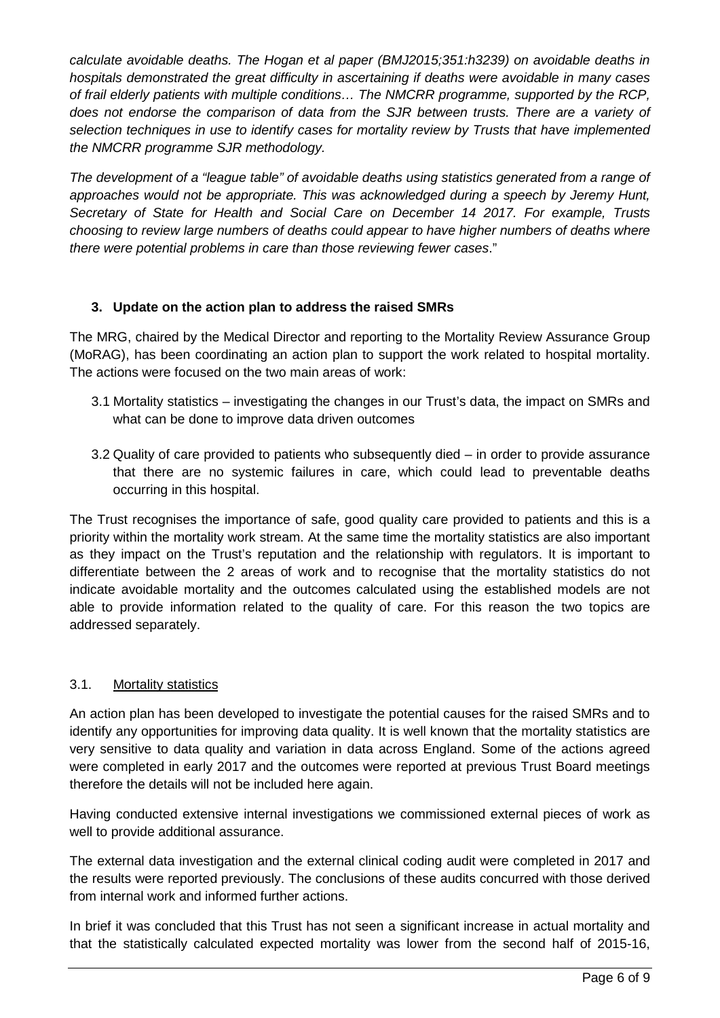*calculate avoidable deaths. The Hogan et al paper (BMJ2015;351:h3239) on avoidable deaths in hospitals demonstrated the great difficulty in ascertaining if deaths were avoidable in many cases of frail elderly patients with multiple conditions… The NMCRR programme, supported by the RCP, does not endorse the comparison of data from the SJR between trusts. There are a variety of selection techniques in use to identify cases for mortality review by Trusts that have implemented the NMCRR programme SJR methodology.*

*The development of a "league table" of avoidable deaths using statistics generated from a range of approaches would not be appropriate. This was acknowledged during a speech by Jeremy Hunt, Secretary of State for Health and Social Care on December 14 2017. For example, Trusts choosing to review large numbers of deaths could appear to have higher numbers of deaths where there were potential problems in care than those reviewing fewer cases*."

### **3. Update on the action plan to address the raised SMRs**

The MRG, chaired by the Medical Director and reporting to the Mortality Review Assurance Group (MoRAG), has been coordinating an action plan to support the work related to hospital mortality. The actions were focused on the two main areas of work:

- 3.1 Mortality statistics investigating the changes in our Trust's data, the impact on SMRs and what can be done to improve data driven outcomes
- 3.2 Quality of care provided to patients who subsequently died in order to provide assurance that there are no systemic failures in care, which could lead to preventable deaths occurring in this hospital.

The Trust recognises the importance of safe, good quality care provided to patients and this is a priority within the mortality work stream. At the same time the mortality statistics are also important as they impact on the Trust's reputation and the relationship with regulators. It is important to differentiate between the 2 areas of work and to recognise that the mortality statistics do not indicate avoidable mortality and the outcomes calculated using the established models are not able to provide information related to the quality of care. For this reason the two topics are addressed separately.

# 3.1. Mortality statistics

An action plan has been developed to investigate the potential causes for the raised SMRs and to identify any opportunities for improving data quality. It is well known that the mortality statistics are very sensitive to data quality and variation in data across England. Some of the actions agreed were completed in early 2017 and the outcomes were reported at previous Trust Board meetings therefore the details will not be included here again.

Having conducted extensive internal investigations we commissioned external pieces of work as well to provide additional assurance.

The external data investigation and the external clinical coding audit were completed in 2017 and the results were reported previously. The conclusions of these audits concurred with those derived from internal work and informed further actions.

In brief it was concluded that this Trust has not seen a significant increase in actual mortality and that the statistically calculated expected mortality was lower from the second half of 2015-16,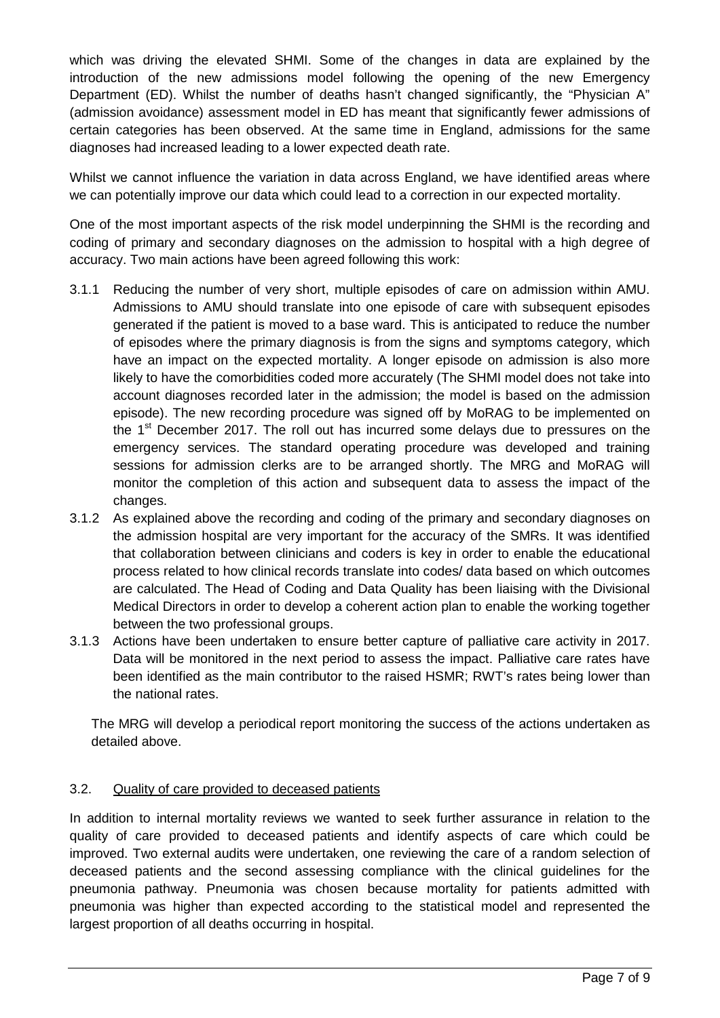which was driving the elevated SHMI. Some of the changes in data are explained by the introduction of the new admissions model following the opening of the new Emergency Department (ED). Whilst the number of deaths hasn't changed significantly, the "Physician A" (admission avoidance) assessment model in ED has meant that significantly fewer admissions of certain categories has been observed. At the same time in England, admissions for the same diagnoses had increased leading to a lower expected death rate.

Whilst we cannot influence the variation in data across England, we have identified areas where we can potentially improve our data which could lead to a correction in our expected mortality.

One of the most important aspects of the risk model underpinning the SHMI is the recording and coding of primary and secondary diagnoses on the admission to hospital with a high degree of accuracy. Two main actions have been agreed following this work:

- 3.1.1 Reducing the number of very short, multiple episodes of care on admission within AMU. Admissions to AMU should translate into one episode of care with subsequent episodes generated if the patient is moved to a base ward. This is anticipated to reduce the number of episodes where the primary diagnosis is from the signs and symptoms category, which have an impact on the expected mortality. A longer episode on admission is also more likely to have the comorbidities coded more accurately (The SHMI model does not take into account diagnoses recorded later in the admission; the model is based on the admission episode). The new recording procedure was signed off by MoRAG to be implemented on the 1<sup>st</sup> December 2017. The roll out has incurred some delays due to pressures on the emergency services. The standard operating procedure was developed and training sessions for admission clerks are to be arranged shortly. The MRG and MoRAG will monitor the completion of this action and subsequent data to assess the impact of the changes.
- 3.1.2 As explained above the recording and coding of the primary and secondary diagnoses on the admission hospital are very important for the accuracy of the SMRs. It was identified that collaboration between clinicians and coders is key in order to enable the educational process related to how clinical records translate into codes/ data based on which outcomes are calculated. The Head of Coding and Data Quality has been liaising with the Divisional Medical Directors in order to develop a coherent action plan to enable the working together between the two professional groups.
- 3.1.3 Actions have been undertaken to ensure better capture of palliative care activity in 2017. Data will be monitored in the next period to assess the impact. Palliative care rates have been identified as the main contributor to the raised HSMR; RWT's rates being lower than the national rates.

The MRG will develop a periodical report monitoring the success of the actions undertaken as detailed above.

#### 3.2. Quality of care provided to deceased patients

In addition to internal mortality reviews we wanted to seek further assurance in relation to the quality of care provided to deceased patients and identify aspects of care which could be improved. Two external audits were undertaken, one reviewing the care of a random selection of deceased patients and the second assessing compliance with the clinical guidelines for the pneumonia pathway. Pneumonia was chosen because mortality for patients admitted with pneumonia was higher than expected according to the statistical model and represented the largest proportion of all deaths occurring in hospital.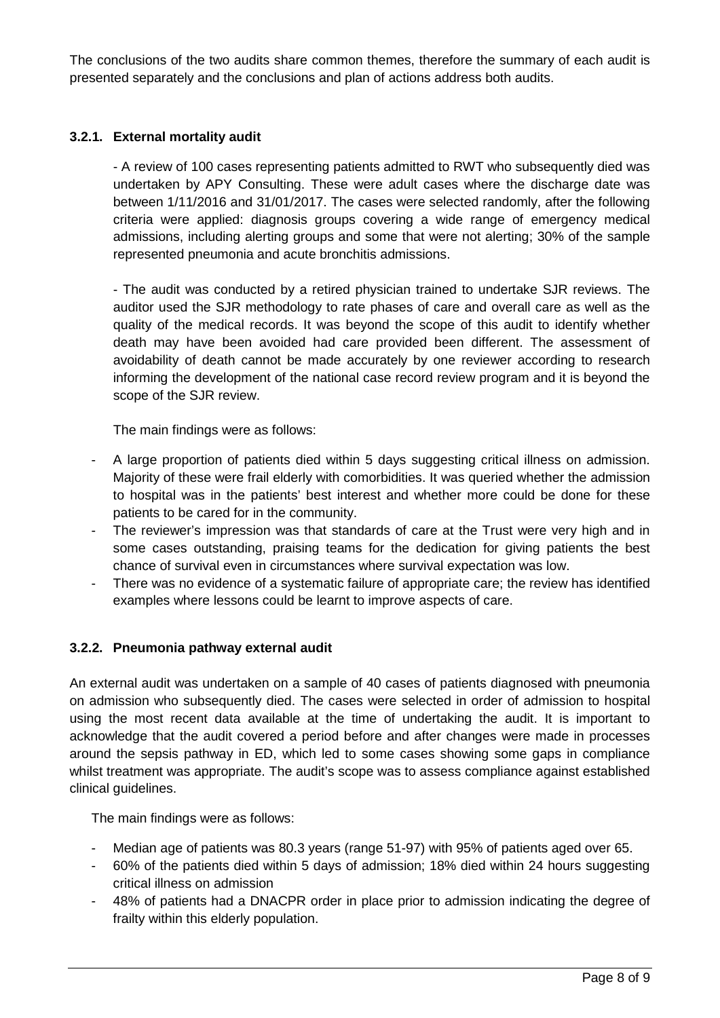The conclusions of the two audits share common themes, therefore the summary of each audit is presented separately and the conclusions and plan of actions address both audits.

## **3.2.1. External mortality audit**

- A review of 100 cases representing patients admitted to RWT who subsequently died was undertaken by APY Consulting. These were adult cases where the discharge date was between 1/11/2016 and 31/01/2017. The cases were selected randomly, after the following criteria were applied: diagnosis groups covering a wide range of emergency medical admissions, including alerting groups and some that were not alerting; 30% of the sample represented pneumonia and acute bronchitis admissions.

- The audit was conducted by a retired physician trained to undertake SJR reviews. The auditor used the SJR methodology to rate phases of care and overall care as well as the quality of the medical records. It was beyond the scope of this audit to identify whether death may have been avoided had care provided been different. The assessment of avoidability of death cannot be made accurately by one reviewer according to research informing the development of the national case record review program and it is beyond the scope of the SJR review.

The main findings were as follows:

- A large proportion of patients died within 5 days suggesting critical illness on admission. Majority of these were frail elderly with comorbidities. It was queried whether the admission to hospital was in the patients' best interest and whether more could be done for these patients to be cared for in the community.
- The reviewer's impression was that standards of care at the Trust were very high and in some cases outstanding, praising teams for the dedication for giving patients the best chance of survival even in circumstances where survival expectation was low.
- There was no evidence of a systematic failure of appropriate care; the review has identified examples where lessons could be learnt to improve aspects of care.

#### **3.2.2. Pneumonia pathway external audit**

An external audit was undertaken on a sample of 40 cases of patients diagnosed with pneumonia on admission who subsequently died. The cases were selected in order of admission to hospital using the most recent data available at the time of undertaking the audit. It is important to acknowledge that the audit covered a period before and after changes were made in processes around the sepsis pathway in ED, which led to some cases showing some gaps in compliance whilst treatment was appropriate. The audit's scope was to assess compliance against established clinical guidelines.

The main findings were as follows:

- Median age of patients was 80.3 years (range 51-97) with 95% of patients aged over 65.
- 60% of the patients died within 5 days of admission; 18% died within 24 hours suggesting critical illness on admission
- 48% of patients had a DNACPR order in place prior to admission indicating the degree of frailty within this elderly population.